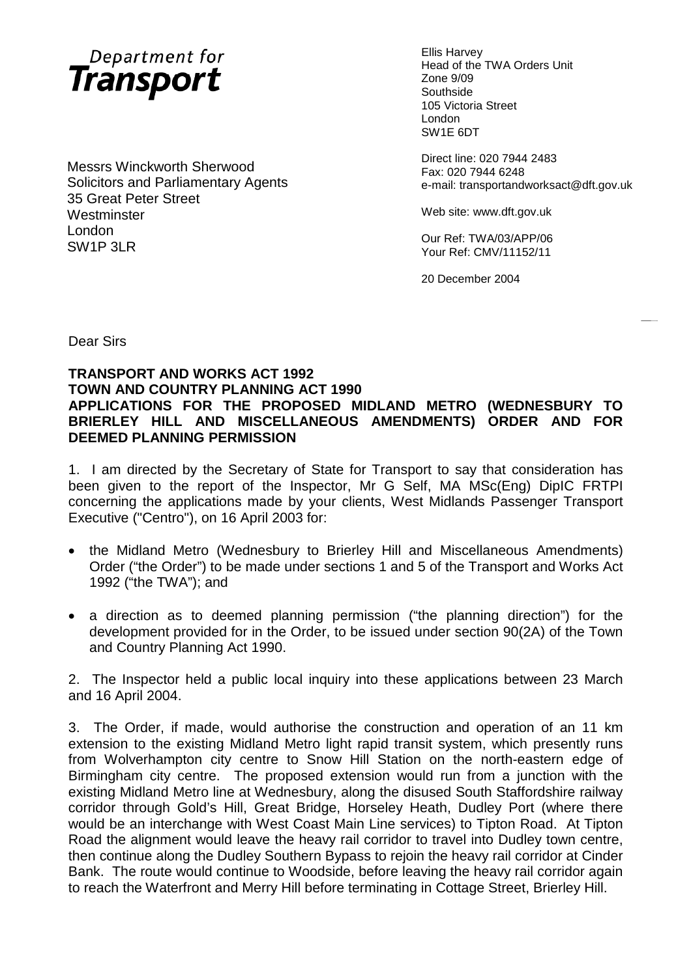

Messrs Winckworth Sherwood Solicitors and Parliamentary Agents 35 Great Peter Street **Westminster** London SW1P 3LR

Ellis Harvey Head of the TWA Orders Unit Zone 9/09 **Southside** 105 Victoria Street London SW1E 6DT

Direct line: 020 7944 2483 Fax: 020 7944 6248 e-mail: transportandworksact@dft.gov.uk

Web site: www.dft.gov.uk

Our Ref: TWA/03/APP/06 Your Ref: CMV/11152/11

20 December 2004

Dear Sirs

#### **TRANSPORT AND WORKS ACT 1992 TOWN AND COUNTRY PLANNING ACT 1990 APPLICATIONS FOR THE PROPOSED MIDLAND METRO (WEDNESBURY TO BRIERLEY HILL AND MISCELLANEOUS AMENDMENTS) ORDER AND FOR DEEMED PLANNING PERMISSION**

1. I am directed by the Secretary of State for Transport to say that consideration has been given to the report of the Inspector, Mr G Self, MA MSc(Eng) DipIC FRTPI concerning the applications made by your clients, West Midlands Passenger Transport Executive ("Centro"), on 16 April 2003 for:

- the Midland Metro (Wednesbury to Brierley Hill and Miscellaneous Amendments) Order ("the Order") to be made under sections 1 and 5 of the Transport and Works Act 1992 ("the TWA"); and
- a direction as to deemed planning permission ("the planning direction") for the development provided for in the Order, to be issued under section 90(2A) of the Town and Country Planning Act 1990.

2. The Inspector held a public local inquiry into these applications between 23 March and 16 April 2004.

3. The Order, if made, would authorise the construction and operation of an 11 km extension to the existing Midland Metro light rapid transit system, which presently runs from Wolverhampton city centre to Snow Hill Station on the north-eastern edge of Birmingham city centre. The proposed extension would run from a junction with the existing Midland Metro line at Wednesbury, along the disused South Staffordshire railway corridor through Gold's Hill, Great Bridge, Horseley Heath, Dudley Port (where there would be an interchange with West Coast Main Line services) to Tipton Road. At Tipton Road the alignment would leave the heavy rail corridor to travel into Dudley town centre, then continue along the Dudley Southern Bypass to rejoin the heavy rail corridor at Cinder Bank. The route would continue to Woodside, before leaving the heavy rail corridor again to reach the Waterfront and Merry Hill before terminating in Cottage Street, Brierley Hill.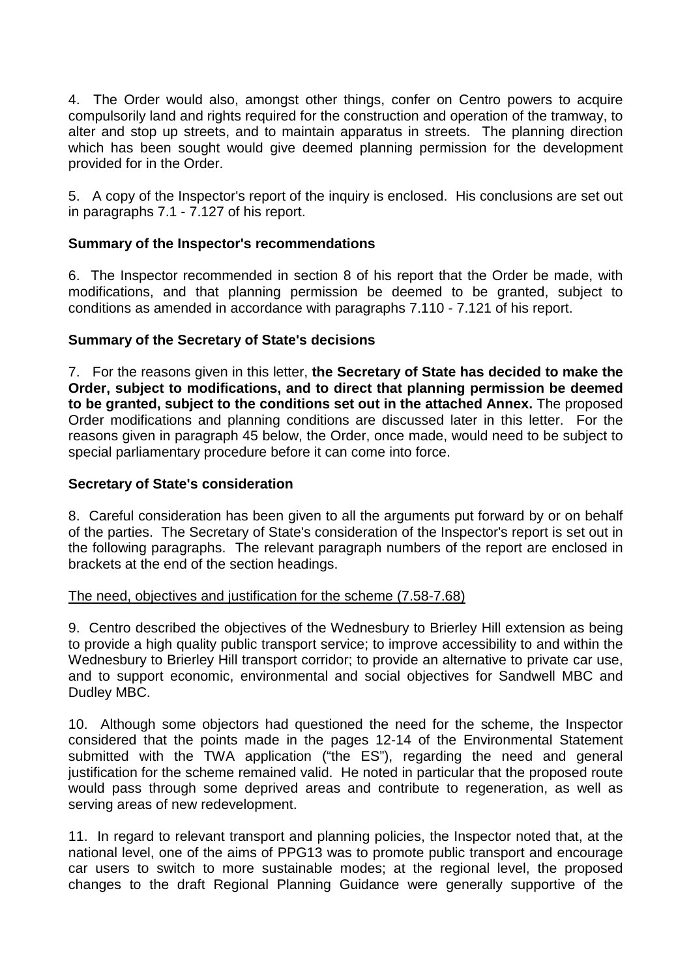4. The Order would also, amongst other things, confer on Centro powers to acquire compulsorily land and rights required for the construction and operation of the tramway, to alter and stop up streets, and to maintain apparatus in streets. The planning direction which has been sought would give deemed planning permission for the development provided for in the Order.

5. A copy of the Inspector's report of the inquiry is enclosed. His conclusions are set out in paragraphs 7.1 - 7.127 of his report.

### **Summary of the Inspector's recommendations**

6. The Inspector recommended in section 8 of his report that the Order be made, with modifications, and that planning permission be deemed to be granted, subject to conditions as amended in accordance with paragraphs 7.110 - 7.121 of his report.

## **Summary of the Secretary of State's decisions**

7. For the reasons given in this letter, **the Secretary of State has decided to make the Order, subject to modifications, and to direct that planning permission be deemed to be granted, subject to the conditions set out in the attached Annex.** The proposed Order modifications and planning conditions are discussed later in this letter. For the reasons given in paragraph 45 below, the Order, once made, would need to be subject to special parliamentary procedure before it can come into force.

### **Secretary of State's consideration**

8. Careful consideration has been given to all the arguments put forward by or on behalf of the parties. The Secretary of State's consideration of the Inspector's report is set out in the following paragraphs. The relevant paragraph numbers of the report are enclosed in brackets at the end of the section headings.

### The need, objectives and justification for the scheme (7.58-7.68)

9. Centro described the objectives of the Wednesbury to Brierley Hill extension as being to provide a high quality public transport service; to improve accessibility to and within the Wednesbury to Brierley Hill transport corridor; to provide an alternative to private car use, and to support economic, environmental and social objectives for Sandwell MBC and Dudley MBC.

10. Although some objectors had questioned the need for the scheme, the Inspector considered that the points made in the pages 12-14 of the Environmental Statement submitted with the TWA application ("the ES"), regarding the need and general justification for the scheme remained valid. He noted in particular that the proposed route would pass through some deprived areas and contribute to regeneration, as well as serving areas of new redevelopment.

11. In regard to relevant transport and planning policies, the Inspector noted that, at the national level, one of the aims of PPG13 was to promote public transport and encourage car users to switch to more sustainable modes; at the regional level, the proposed changes to the draft Regional Planning Guidance were generally supportive of the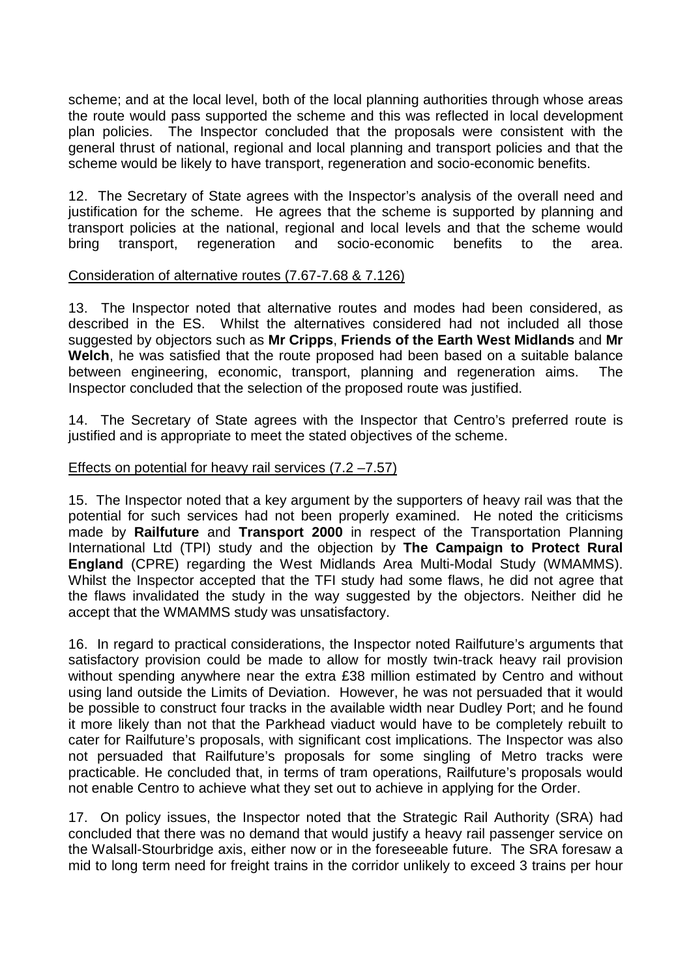scheme; and at the local level, both of the local planning authorities through whose areas the route would pass supported the scheme and this was reflected in local development plan policies. The Inspector concluded that the proposals were consistent with the general thrust of national, regional and local planning and transport policies and that the scheme would be likely to have transport, regeneration and socio-economic benefits.

12. The Secretary of State agrees with the Inspector's analysis of the overall need and justification for the scheme. He agrees that the scheme is supported by planning and transport policies at the national, regional and local levels and that the scheme would bring transport, regeneration and socio-economic benefits to the area.

#### Consideration of alternative routes (7.67-7.68 & 7.126)

13. The Inspector noted that alternative routes and modes had been considered, as described in the ES. Whilst the alternatives considered had not included all those suggested by objectors such as **Mr Cripps**, **Friends of the Earth West Midlands** and **Mr Welch**, he was satisfied that the route proposed had been based on a suitable balance between engineering, economic, transport, planning and regeneration aims. The Inspector concluded that the selection of the proposed route was justified.

14. The Secretary of State agrees with the Inspector that Centro's preferred route is justified and is appropriate to meet the stated objectives of the scheme.

#### Effects on potential for heavy rail services (7.2 –7.57)

15. The Inspector noted that a key argument by the supporters of heavy rail was that the potential for such services had not been properly examined. He noted the criticisms made by **Railfuture** and **Transport 2000** in respect of the Transportation Planning International Ltd (TPI) study and the objection by **The Campaign to Protect Rural England** (CPRE) regarding the West Midlands Area Multi-Modal Study (WMAMMS). Whilst the Inspector accepted that the TFI study had some flaws, he did not agree that the flaws invalidated the study in the way suggested by the objectors. Neither did he accept that the WMAMMS study was unsatisfactory.

16. In regard to practical considerations, the Inspector noted Railfuture's arguments that satisfactory provision could be made to allow for mostly twin-track heavy rail provision without spending anywhere near the extra £38 million estimated by Centro and without using land outside the Limits of Deviation. However, he was not persuaded that it would be possible to construct four tracks in the available width near Dudley Port; and he found it more likely than not that the Parkhead viaduct would have to be completely rebuilt to cater for Railfuture's proposals, with significant cost implications. The Inspector was also not persuaded that Railfuture's proposals for some singling of Metro tracks were practicable. He concluded that, in terms of tram operations, Railfuture's proposals would not enable Centro to achieve what they set out to achieve in applying for the Order.

17. On policy issues, the Inspector noted that the Strategic Rail Authority (SRA) had concluded that there was no demand that would justify a heavy rail passenger service on the Walsall-Stourbridge axis, either now or in the foreseeable future. The SRA foresaw a mid to long term need for freight trains in the corridor unlikely to exceed 3 trains per hour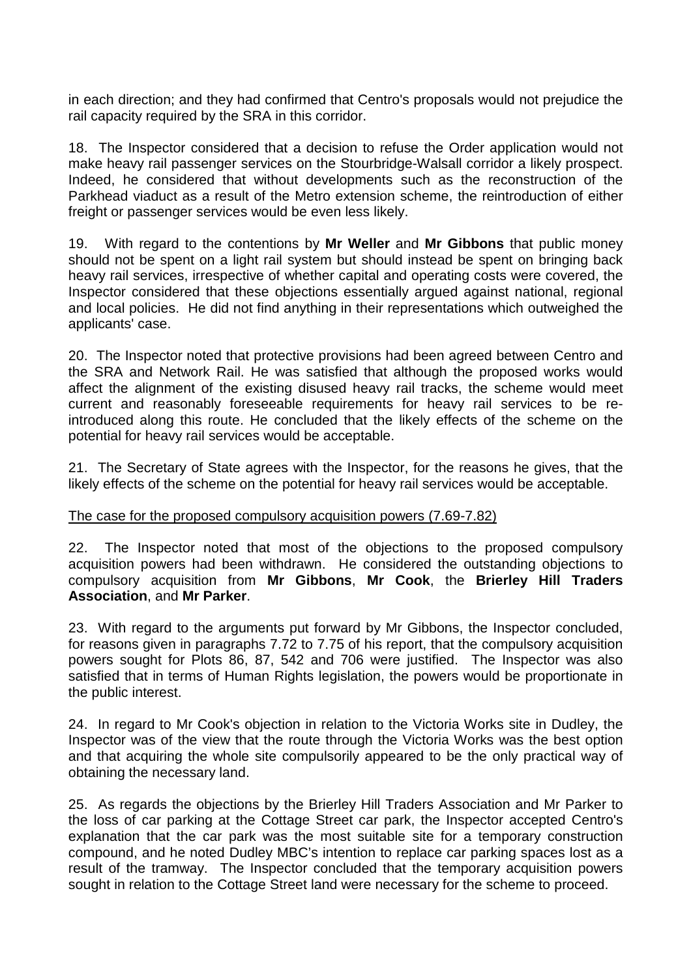in each direction; and they had confirmed that Centro's proposals would not prejudice the rail capacity required by the SRA in this corridor.

18. The Inspector considered that a decision to refuse the Order application would not make heavy rail passenger services on the Stourbridge-Walsall corridor a likely prospect. Indeed, he considered that without developments such as the reconstruction of the Parkhead viaduct as a result of the Metro extension scheme, the reintroduction of either freight or passenger services would be even less likely.

19. With regard to the contentions by **Mr Weller** and **Mr Gibbons** that public money should not be spent on a light rail system but should instead be spent on bringing back heavy rail services, irrespective of whether capital and operating costs were covered, the Inspector considered that these objections essentially argued against national, regional and local policies. He did not find anything in their representations which outweighed the applicants' case.

20. The Inspector noted that protective provisions had been agreed between Centro and the SRA and Network Rail. He was satisfied that although the proposed works would affect the alignment of the existing disused heavy rail tracks, the scheme would meet current and reasonably foreseeable requirements for heavy rail services to be reintroduced along this route. He concluded that the likely effects of the scheme on the potential for heavy rail services would be acceptable.

21. The Secretary of State agrees with the Inspector, for the reasons he gives, that the likely effects of the scheme on the potential for heavy rail services would be acceptable.

### The case for the proposed compulsory acquisition powers (7.69-7.82)

22. The Inspector noted that most of the objections to the proposed compulsory acquisition powers had been withdrawn. He considered the outstanding objections to compulsory acquisition from **Mr Gibbons**, **Mr Cook**, the **Brierley Hill Traders Association**, and **Mr Parker**.

23. With regard to the arguments put forward by Mr Gibbons, the Inspector concluded, for reasons given in paragraphs 7.72 to 7.75 of his report, that the compulsory acquisition powers sought for Plots 86, 87, 542 and 706 were justified. The Inspector was also satisfied that in terms of Human Rights legislation, the powers would be proportionate in the public interest.

24. In regard to Mr Cook's objection in relation to the Victoria Works site in Dudley, the Inspector was of the view that the route through the Victoria Works was the best option and that acquiring the whole site compulsorily appeared to be the only practical way of obtaining the necessary land.

25. As regards the objections by the Brierley Hill Traders Association and Mr Parker to the loss of car parking at the Cottage Street car park, the Inspector accepted Centro's explanation that the car park was the most suitable site for a temporary construction compound, and he noted Dudley MBC's intention to replace car parking spaces lost as a result of the tramway. The Inspector concluded that the temporary acquisition powers sought in relation to the Cottage Street land were necessary for the scheme to proceed.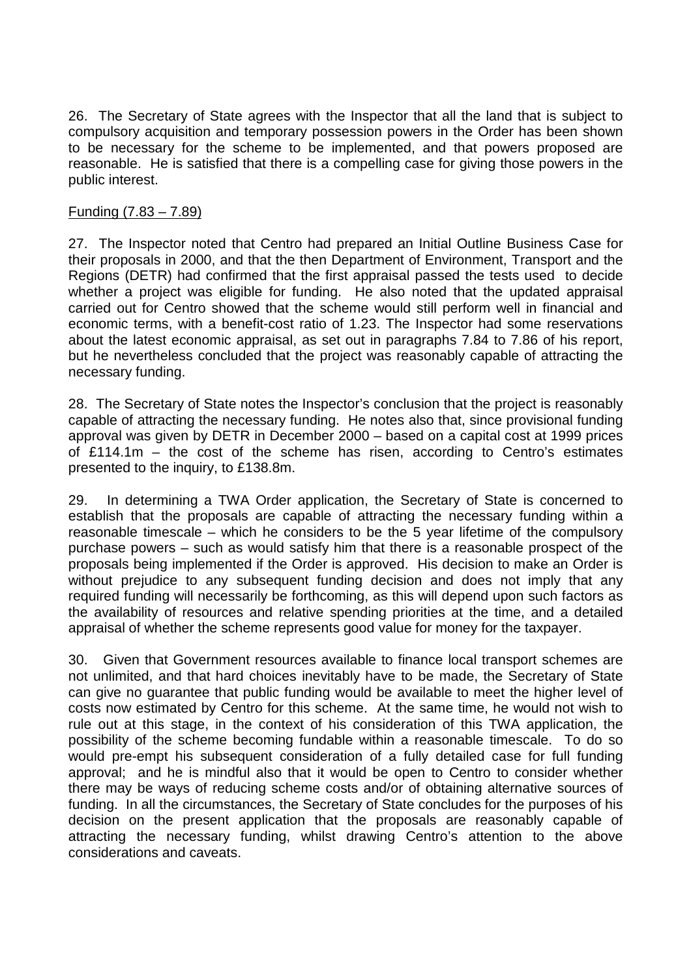26. The Secretary of State agrees with the Inspector that all the land that is subject to compulsory acquisition and temporary possession powers in the Order has been shown to be necessary for the scheme to be implemented, and that powers proposed are reasonable. He is satisfied that there is a compelling case for giving those powers in the public interest.

#### Funding (7.83 – 7.89)

27. The Inspector noted that Centro had prepared an Initial Outline Business Case for their proposals in 2000, and that the then Department of Environment, Transport and the Regions (DETR) had confirmed that the first appraisal passed the tests used to decide whether a project was eligible for funding. He also noted that the updated appraisal carried out for Centro showed that the scheme would still perform well in financial and economic terms, with a benefit-cost ratio of 1.23. The Inspector had some reservations about the latest economic appraisal, as set out in paragraphs 7.84 to 7.86 of his report, but he nevertheless concluded that the project was reasonably capable of attracting the necessary funding.

28. The Secretary of State notes the Inspector's conclusion that the project is reasonably capable of attracting the necessary funding. He notes also that, since provisional funding approval was given by DETR in December 2000 – based on a capital cost at 1999 prices of £114.1m – the cost of the scheme has risen, according to Centro's estimates presented to the inquiry, to £138.8m.

29. In determining a TWA Order application, the Secretary of State is concerned to establish that the proposals are capable of attracting the necessary funding within a reasonable timescale – which he considers to be the 5 year lifetime of the compulsory purchase powers – such as would satisfy him that there is a reasonable prospect of the proposals being implemented if the Order is approved. His decision to make an Order is without prejudice to any subsequent funding decision and does not imply that any required funding will necessarily be forthcoming, as this will depend upon such factors as the availability of resources and relative spending priorities at the time, and a detailed appraisal of whether the scheme represents good value for money for the taxpayer.

30. Given that Government resources available to finance local transport schemes are not unlimited, and that hard choices inevitably have to be made, the Secretary of State can give no guarantee that public funding would be available to meet the higher level of costs now estimated by Centro for this scheme. At the same time, he would not wish to rule out at this stage, in the context of his consideration of this TWA application, the possibility of the scheme becoming fundable within a reasonable timescale. To do so would pre-empt his subsequent consideration of a fully detailed case for full funding approval; and he is mindful also that it would be open to Centro to consider whether there may be ways of reducing scheme costs and/or of obtaining alternative sources of funding. In all the circumstances, the Secretary of State concludes for the purposes of his decision on the present application that the proposals are reasonably capable of attracting the necessary funding, whilst drawing Centro's attention to the above considerations and caveats.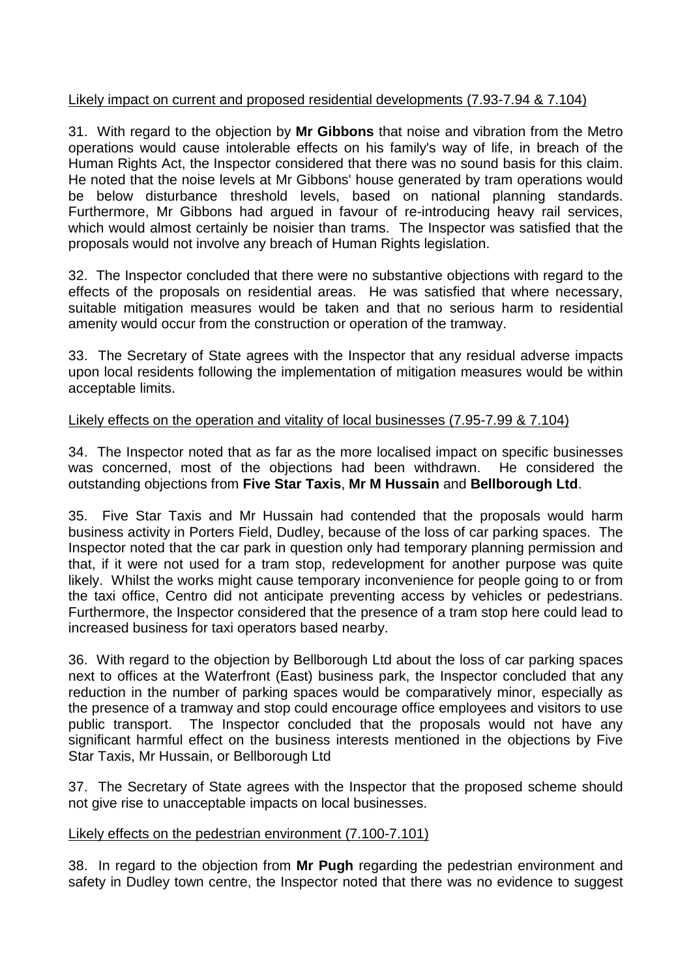## Likely impact on current and proposed residential developments (7.93-7.94 & 7.104)

31. With regard to the objection by **Mr Gibbons** that noise and vibration from the Metro operations would cause intolerable effects on his family's way of life, in breach of the Human Rights Act, the Inspector considered that there was no sound basis for this claim. He noted that the noise levels at Mr Gibbons' house generated by tram operations would be below disturbance threshold levels, based on national planning standards. Furthermore, Mr Gibbons had argued in favour of re-introducing heavy rail services, which would almost certainly be noisier than trams. The Inspector was satisfied that the proposals would not involve any breach of Human Rights legislation.

32. The Inspector concluded that there were no substantive objections with regard to the effects of the proposals on residential areas. He was satisfied that where necessary, suitable mitigation measures would be taken and that no serious harm to residential amenity would occur from the construction or operation of the tramway.

33. The Secretary of State agrees with the Inspector that any residual adverse impacts upon local residents following the implementation of mitigation measures would be within acceptable limits.

## Likely effects on the operation and vitality of local businesses (7.95-7.99 & 7.104)

34. The Inspector noted that as far as the more localised impact on specific businesses was concerned, most of the objections had been withdrawn. He considered the outstanding objections from **Five Star Taxis**, **Mr M Hussain** and **Bellborough Ltd**.

35. Five Star Taxis and Mr Hussain had contended that the proposals would harm business activity in Porters Field, Dudley, because of the loss of car parking spaces. The Inspector noted that the car park in question only had temporary planning permission and that, if it were not used for a tram stop, redevelopment for another purpose was quite likely. Whilst the works might cause temporary inconvenience for people going to or from the taxi office, Centro did not anticipate preventing access by vehicles or pedestrians. Furthermore, the Inspector considered that the presence of a tram stop here could lead to increased business for taxi operators based nearby.

36. With regard to the objection by Bellborough Ltd about the loss of car parking spaces next to offices at the Waterfront (East) business park, the Inspector concluded that any reduction in the number of parking spaces would be comparatively minor, especially as the presence of a tramway and stop could encourage office employees and visitors to use public transport. The Inspector concluded that the proposals would not have any significant harmful effect on the business interests mentioned in the objections by Five Star Taxis, Mr Hussain, or Bellborough Ltd

37. The Secretary of State agrees with the Inspector that the proposed scheme should not give rise to unacceptable impacts on local businesses.

### Likely effects on the pedestrian environment (7.100-7.101)

38. In regard to the objection from **Mr Pugh** regarding the pedestrian environment and safety in Dudley town centre, the Inspector noted that there was no evidence to suggest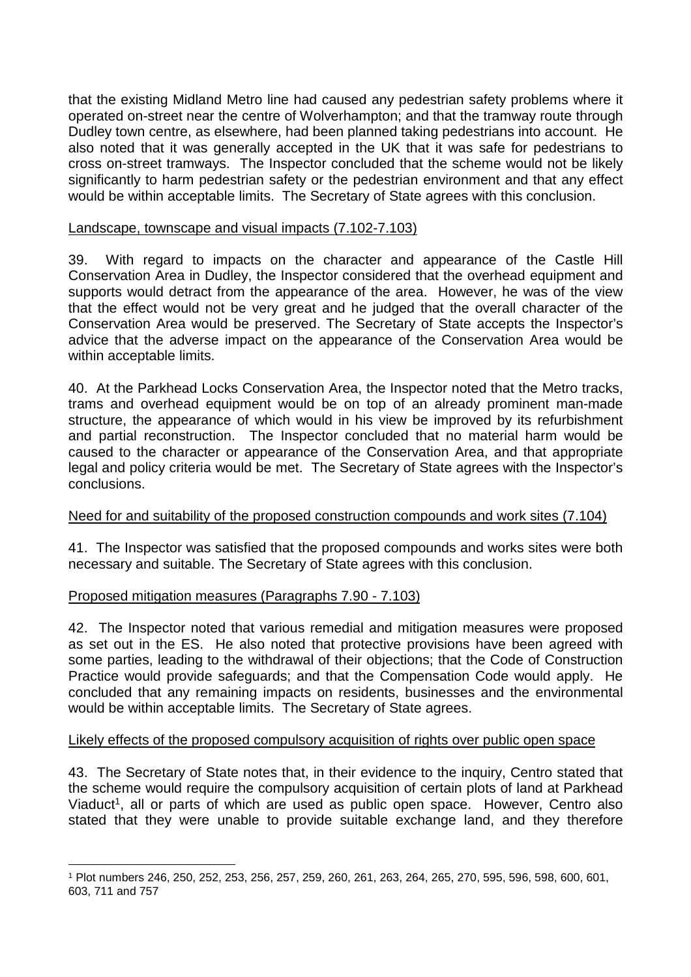that the existing Midland Metro line had caused any pedestrian safety problems where it operated on-street near the centre of Wolverhampton; and that the tramway route through Dudley town centre, as elsewhere, had been planned taking pedestrians into account. He also noted that it was generally accepted in the UK that it was safe for pedestrians to cross on-street tramways. The Inspector concluded that the scheme would not be likely significantly to harm pedestrian safety or the pedestrian environment and that any effect would be within acceptable limits. The Secretary of State agrees with this conclusion.

#### Landscape, townscape and visual impacts (7.102-7.103)

39. With regard to impacts on the character and appearance of the Castle Hill Conservation Area in Dudley, the Inspector considered that the overhead equipment and supports would detract from the appearance of the area. However, he was of the view that the effect would not be very great and he judged that the overall character of the Conservation Area would be preserved. The Secretary of State accepts the Inspector's advice that the adverse impact on the appearance of the Conservation Area would be within acceptable limits.

40. At the Parkhead Locks Conservation Area, the Inspector noted that the Metro tracks, trams and overhead equipment would be on top of an already prominent man-made structure, the appearance of which would in his view be improved by its refurbishment and partial reconstruction. The Inspector concluded that no material harm would be caused to the character or appearance of the Conservation Area, and that appropriate legal and policy criteria would be met. The Secretary of State agrees with the Inspector's conclusions.

#### Need for and suitability of the proposed construction compounds and work sites (7.104)

41. The Inspector was satisfied that the proposed compounds and works sites were both necessary and suitable. The Secretary of State agrees with this conclusion.

#### Proposed mitigation measures (Paragraphs 7.90 - 7.103)

42. The Inspector noted that various remedial and mitigation measures were proposed as set out in the ES. He also noted that protective provisions have been agreed with some parties, leading to the withdrawal of their objections; that the Code of Construction Practice would provide safeguards; and that the Compensation Code would apply. He concluded that any remaining impacts on residents, businesses and the environmental would be within acceptable limits. The Secretary of State agrees.

### Likely effects of the proposed compulsory acquisition of rights over public open space

43. The Secretary of State notes that, in their evidence to the inquiry, Centro stated that the scheme would require the compulsory acquisition of certain plots of land at Parkhead Viaduct<sup>1</sup>, all or parts of which are used as public open space. However, Centro also stated that they were unable to provide suitable exchange land, and they therefore

<sup>1</sup> Plot numbers 246, 250, 252, 253, 256, 257, 259, 260, 261, 263, 264, 265, 270, 595, 596, 598, 600, 601, 603, 711 and 757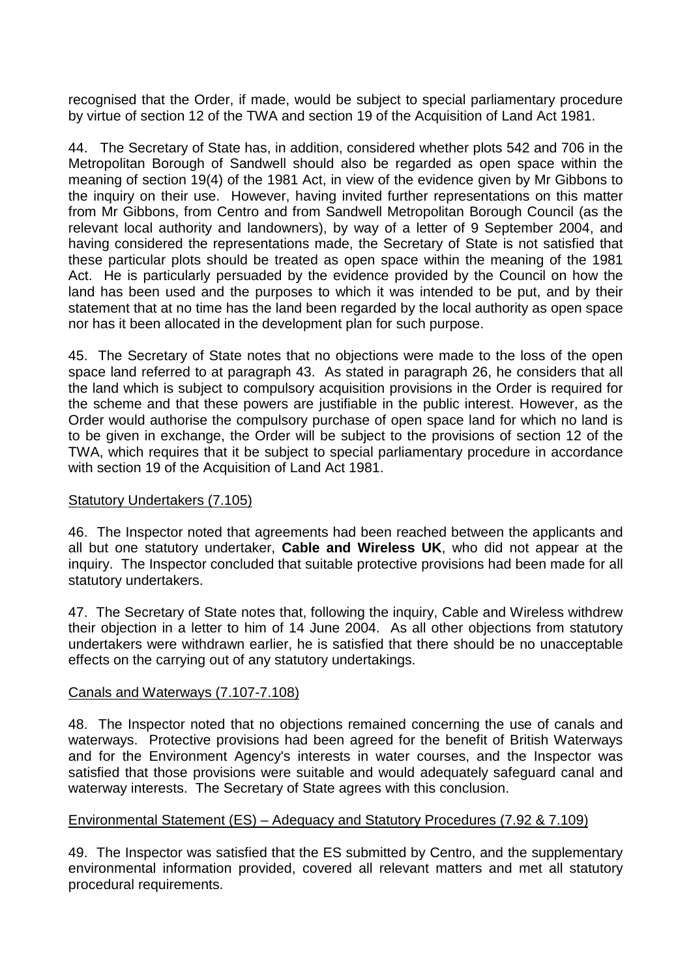recognised that the Order, if made, would be subject to special parliamentary procedure by virtue of section 12 of the TWA and section 19 of the Acquisition of Land Act 1981.

44. The Secretary of State has, in addition, considered whether plots 542 and 706 in the Metropolitan Borough of Sandwell should also be regarded as open space within the meaning of section 19(4) of the 1981 Act, in view of the evidence given by Mr Gibbons to the inquiry on their use. However, having invited further representations on this matter from Mr Gibbons, from Centro and from Sandwell Metropolitan Borough Council (as the relevant local authority and landowners), by way of a letter of 9 September 2004, and having considered the representations made, the Secretary of State is not satisfied that these particular plots should be treated as open space within the meaning of the 1981 Act. He is particularly persuaded by the evidence provided by the Council on how the land has been used and the purposes to which it was intended to be put, and by their statement that at no time has the land been regarded by the local authority as open space nor has it been allocated in the development plan for such purpose.

45. The Secretary of State notes that no objections were made to the loss of the open space land referred to at paragraph 43. As stated in paragraph 26, he considers that all the land which is subject to compulsory acquisition provisions in the Order is required for the scheme and that these powers are justifiable in the public interest. However, as the Order would authorise the compulsory purchase of open space land for which no land is to be given in exchange, the Order will be subject to the provisions of section 12 of the TWA, which requires that it be subject to special parliamentary procedure in accordance with section 19 of the Acquisition of Land Act 1981.

### Statutory Undertakers (7.105)

46. The Inspector noted that agreements had been reached between the applicants and all but one statutory undertaker, **Cable and Wireless UK**, who did not appear at the inquiry. The Inspector concluded that suitable protective provisions had been made for all statutory undertakers.

47. The Secretary of State notes that, following the inquiry, Cable and Wireless withdrew their objection in a letter to him of 14 June 2004. As all other objections from statutory undertakers were withdrawn earlier, he is satisfied that there should be no unacceptable effects on the carrying out of any statutory undertakings.

# Canals and Waterways (7.107-7.108)

48. The Inspector noted that no objections remained concerning the use of canals and waterways. Protective provisions had been agreed for the benefit of British Waterways and for the Environment Agency's interests in water courses, and the Inspector was satisfied that those provisions were suitable and would adequately safeguard canal and waterway interests. The Secretary of State agrees with this conclusion.

# Environmental Statement (ES) – Adequacy and Statutory Procedures (7.92 & 7.109)

49. The Inspector was satisfied that the ES submitted by Centro, and the supplementary environmental information provided, covered all relevant matters and met all statutory procedural requirements.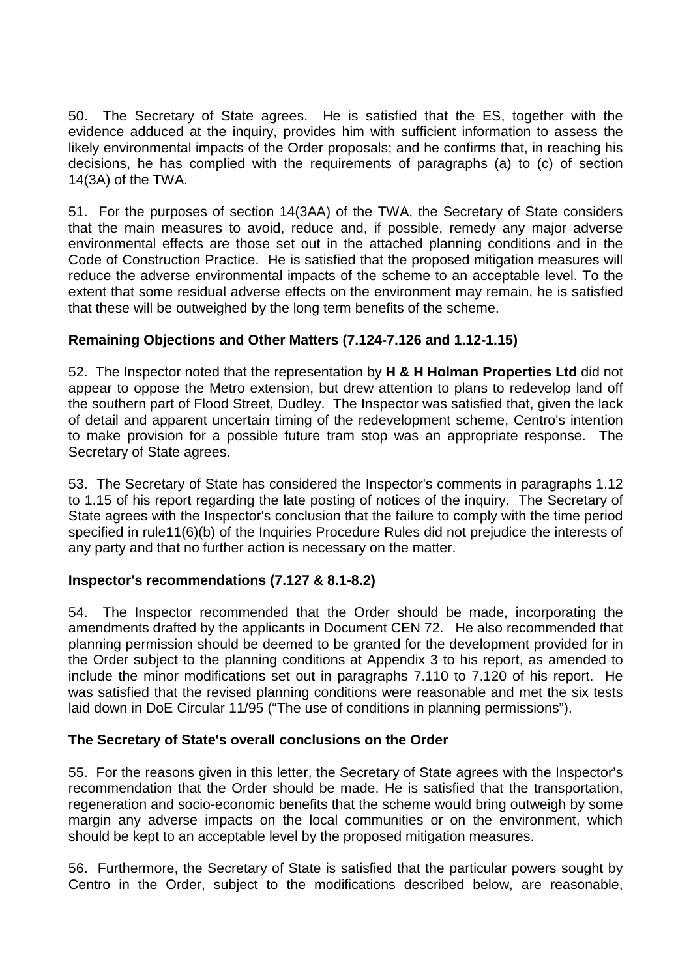50. The Secretary of State agrees. He is satisfied that the ES, together with the evidence adduced at the inquiry, provides him with sufficient information to assess the likely environmental impacts of the Order proposals; and he confirms that, in reaching his decisions, he has complied with the requirements of paragraphs (a) to (c) of section 14(3A) of the TWA.

51. For the purposes of section 14(3AA) of the TWA, the Secretary of State considers that the main measures to avoid, reduce and, if possible, remedy any major adverse environmental effects are those set out in the attached planning conditions and in the Code of Construction Practice. He is satisfied that the proposed mitigation measures will reduce the adverse environmental impacts of the scheme to an acceptable level. To the extent that some residual adverse effects on the environment may remain, he is satisfied that these will be outweighed by the long term benefits of the scheme.

# **Remaining Objections and Other Matters (7.124-7.126 and 1.12-1.15)**

52. The Inspector noted that the representation by **H & H Holman Properties Ltd** did not appear to oppose the Metro extension, but drew attention to plans to redevelop land off the southern part of Flood Street, Dudley. The Inspector was satisfied that, given the lack of detail and apparent uncertain timing of the redevelopment scheme, Centro's intention to make provision for a possible future tram stop was an appropriate response. The Secretary of State agrees.

53. The Secretary of State has considered the Inspector's comments in paragraphs 1.12 to 1.15 of his report regarding the late posting of notices of the inquiry. The Secretary of State agrees with the Inspector's conclusion that the failure to comply with the time period specified in rule11(6)(b) of the Inquiries Procedure Rules did not prejudice the interests of any party and that no further action is necessary on the matter.

# **Inspector's recommendations (7.127 & 8.1-8.2)**

54. The Inspector recommended that the Order should be made, incorporating the amendments drafted by the applicants in Document CEN 72. He also recommended that planning permission should be deemed to be granted for the development provided for in the Order subject to the planning conditions at Appendix 3 to his report, as amended to include the minor modifications set out in paragraphs 7.110 to 7.120 of his report. He was satisfied that the revised planning conditions were reasonable and met the six tests laid down in DoE Circular 11/95 ("The use of conditions in planning permissions").

# **The Secretary of State's overall conclusions on the Order**

55. For the reasons given in this letter, the Secretary of State agrees with the Inspector's recommendation that the Order should be made. He is satisfied that the transportation, regeneration and socio-economic benefits that the scheme would bring outweigh by some margin any adverse impacts on the local communities or on the environment, which should be kept to an acceptable level by the proposed mitigation measures.

56. Furthermore, the Secretary of State is satisfied that the particular powers sought by Centro in the Order, subject to the modifications described below, are reasonable,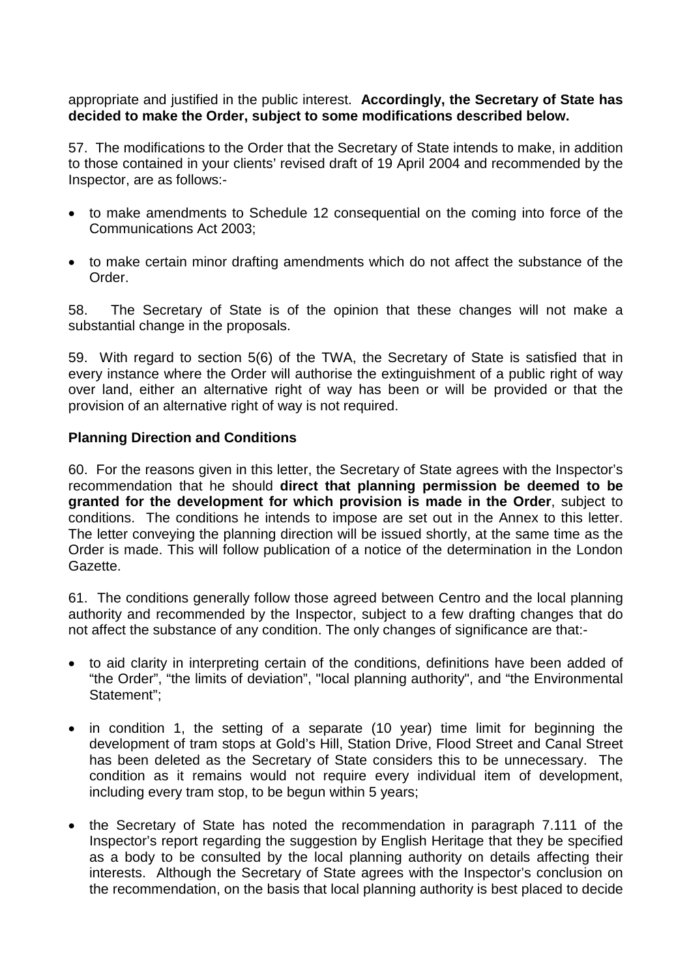### appropriate and justified in the public interest. **Accordingly, the Secretary of State has decided to make the Order, subject to some modifications described below.**

57. The modifications to the Order that the Secretary of State intends to make, in addition to those contained in your clients' revised draft of 19 April 2004 and recommended by the Inspector, are as follows:-

- to make amendments to Schedule 12 consequential on the coming into force of the Communications Act 2003;
- to make certain minor drafting amendments which do not affect the substance of the Order.

58. The Secretary of State is of the opinion that these changes will not make a substantial change in the proposals.

59. With regard to section 5(6) of the TWA, the Secretary of State is satisfied that in every instance where the Order will authorise the extinguishment of a public right of way over land, either an alternative right of way has been or will be provided or that the provision of an alternative right of way is not required.

### **Planning Direction and Conditions**

60. For the reasons given in this letter, the Secretary of State agrees with the Inspector's recommendation that he should **direct that planning permission be deemed to be granted for the development for which provision is made in the Order**, subject to conditions. The conditions he intends to impose are set out in the Annex to this letter. The letter conveying the planning direction will be issued shortly, at the same time as the Order is made. This will follow publication of a notice of the determination in the London Gazette.

61. The conditions generally follow those agreed between Centro and the local planning authority and recommended by the Inspector, subject to a few drafting changes that do not affect the substance of any condition. The only changes of significance are that:-

- to aid clarity in interpreting certain of the conditions, definitions have been added of "the Order", "the limits of deviation", "local planning authority", and "the Environmental Statement";
- in condition 1, the setting of a separate (10 year) time limit for beginning the development of tram stops at Gold's Hill, Station Drive, Flood Street and Canal Street has been deleted as the Secretary of State considers this to be unnecessary. The condition as it remains would not require every individual item of development, including every tram stop, to be begun within 5 years;
- the Secretary of State has noted the recommendation in paragraph 7.111 of the Inspector's report regarding the suggestion by English Heritage that they be specified as a body to be consulted by the local planning authority on details affecting their interests. Although the Secretary of State agrees with the Inspector's conclusion on the recommendation, on the basis that local planning authority is best placed to decide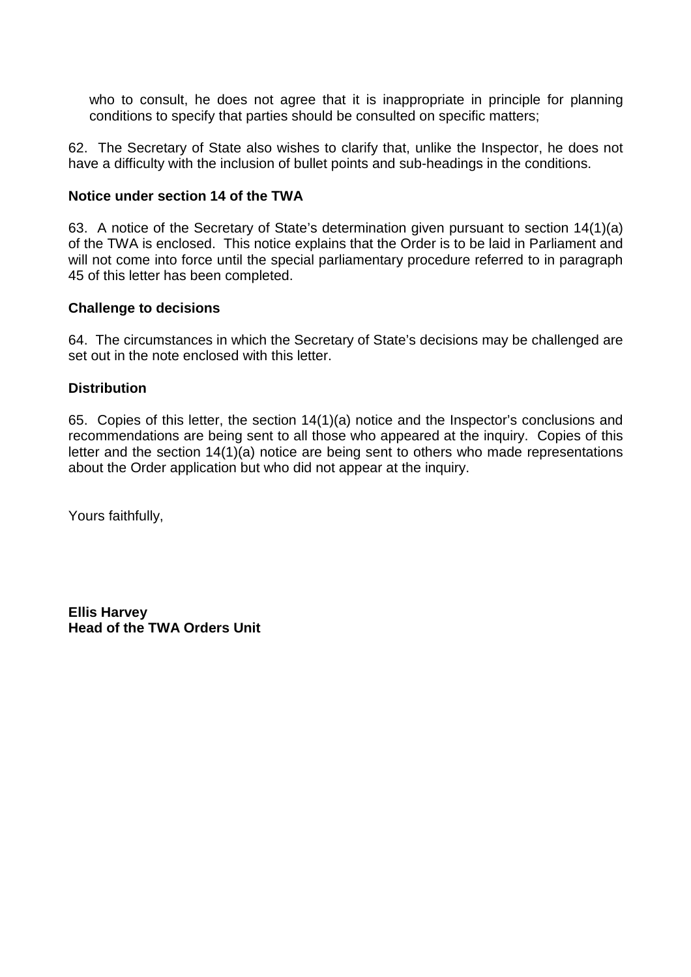who to consult, he does not agree that it is inappropriate in principle for planning conditions to specify that parties should be consulted on specific matters;

62. The Secretary of State also wishes to clarify that, unlike the Inspector, he does not have a difficulty with the inclusion of bullet points and sub-headings in the conditions.

### **Notice under section 14 of the TWA**

63. A notice of the Secretary of State's determination given pursuant to section 14(1)(a) of the TWA is enclosed. This notice explains that the Order is to be laid in Parliament and will not come into force until the special parliamentary procedure referred to in paragraph 45 of this letter has been completed.

#### **Challenge to decisions**

64. The circumstances in which the Secretary of State's decisions may be challenged are set out in the note enclosed with this letter.

#### **Distribution**

65. Copies of this letter, the section 14(1)(a) notice and the Inspector's conclusions and recommendations are being sent to all those who appeared at the inquiry. Copies of this letter and the section 14(1)(a) notice are being sent to others who made representations about the Order application but who did not appear at the inquiry.

Yours faithfully,

**Ellis Harvey Head of the TWA Orders Unit**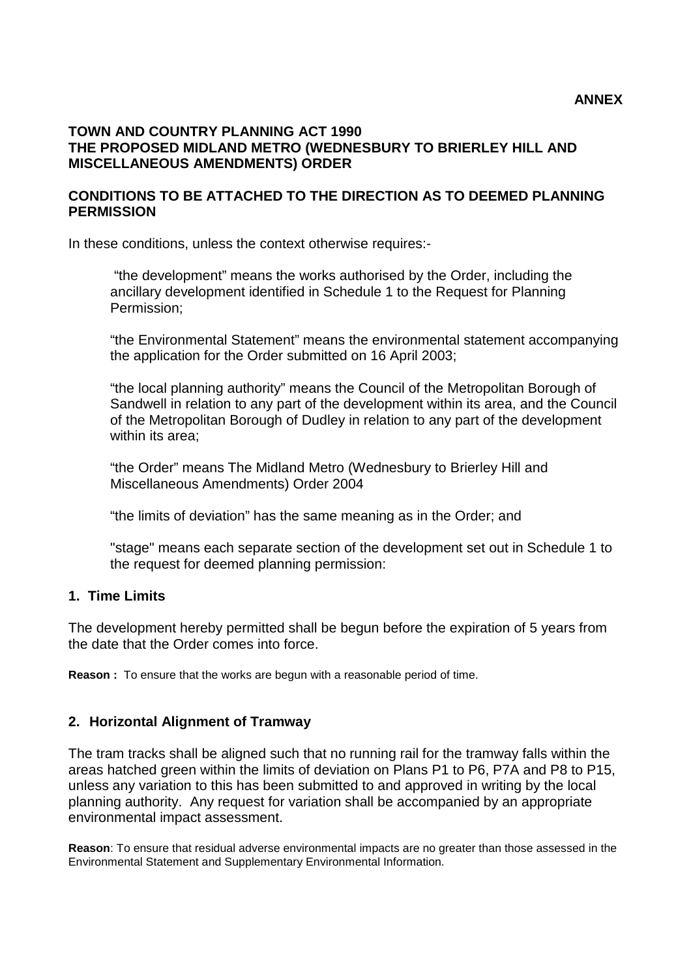#### **TOWN AND COUNTRY PLANNING ACT 1990 THE PROPOSED MIDLAND METRO (WEDNESBURY TO BRIERLEY HILL AND MISCELLANEOUS AMENDMENTS) ORDER**

#### **CONDITIONS TO BE ATTACHED TO THE DIRECTION AS TO DEEMED PLANNING PERMISSION**

In these conditions, unless the context otherwise requires:-

"the development" means the works authorised by the Order, including the ancillary development identified in Schedule 1 to the Request for Planning Permission;

"the Environmental Statement" means the environmental statement accompanying the application for the Order submitted on 16 April 2003;

"the local planning authority" means the Council of the Metropolitan Borough of Sandwell in relation to any part of the development within its area, and the Council of the Metropolitan Borough of Dudley in relation to any part of the development within its area;

"the Order" means The Midland Metro (Wednesbury to Brierley Hill and Miscellaneous Amendments) Order 2004

"the limits of deviation" has the same meaning as in the Order; and

"stage" means each separate section of the development set out in Schedule 1 to the request for deemed planning permission:

### **1. Time Limits**

The development hereby permitted shall be begun before the expiration of 5 years from the date that the Order comes into force.

**Reason :** To ensure that the works are begun with a reasonable period of time.

### **2. Horizontal Alignment of Tramway**

The tram tracks shall be aligned such that no running rail for the tramway falls within the areas hatched green within the limits of deviation on Plans P1 to P6, P7A and P8 to P15, unless any variation to this has been submitted to and approved in writing by the local planning authority. Any request for variation shall be accompanied by an appropriate environmental impact assessment.

**Reason**: To ensure that residual adverse environmental impacts are no greater than those assessed in the Environmental Statement and Supplementary Environmental Information.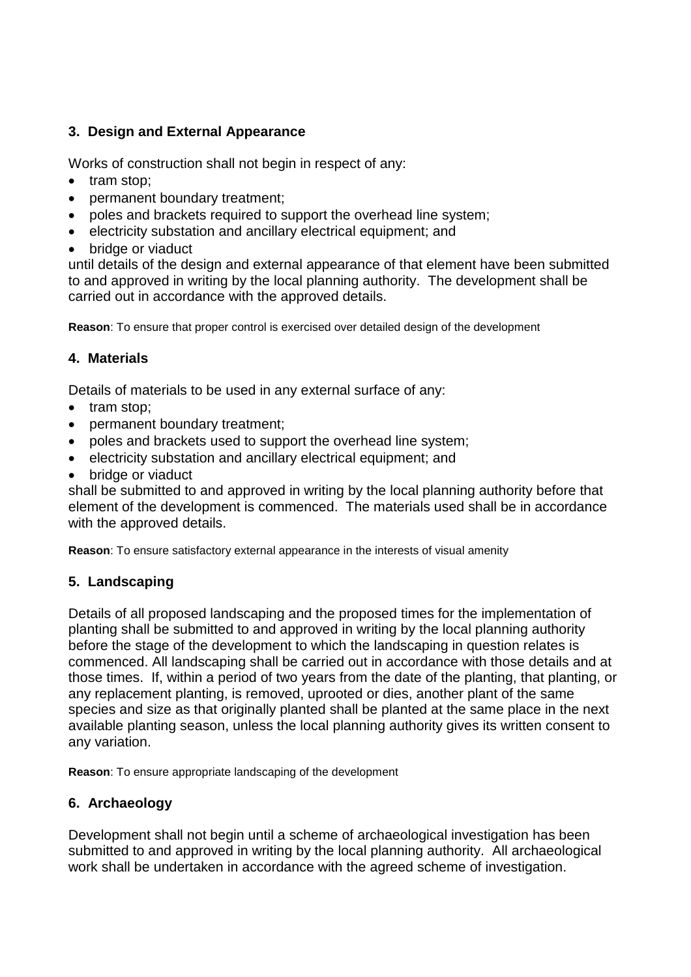# **3. Design and External Appearance**

Works of construction shall not begin in respect of any:

- tram stop:
- permanent boundary treatment;
- poles and brackets required to support the overhead line system:
- electricity substation and ancillary electrical equipment; and
- bridge or viaduct

until details of the design and external appearance of that element have been submitted to and approved in writing by the local planning authority. The development shall be carried out in accordance with the approved details.

**Reason**: To ensure that proper control is exercised over detailed design of the development

# **4. Materials**

Details of materials to be used in any external surface of any:

- tram stop:
- permanent boundary treatment;
- poles and brackets used to support the overhead line system:
- electricity substation and ancillary electrical equipment; and
- bridge or viaduct

shall be submitted to and approved in writing by the local planning authority before that element of the development is commenced. The materials used shall be in accordance with the approved details.

**Reason**: To ensure satisfactory external appearance in the interests of visual amenity

# **5. Landscaping**

Details of all proposed landscaping and the proposed times for the implementation of planting shall be submitted to and approved in writing by the local planning authority before the stage of the development to which the landscaping in question relates is commenced. All landscaping shall be carried out in accordance with those details and at those times. If, within a period of two years from the date of the planting, that planting, or any replacement planting, is removed, uprooted or dies, another plant of the same species and size as that originally planted shall be planted at the same place in the next available planting season, unless the local planning authority gives its written consent to any variation.

**Reason**: To ensure appropriate landscaping of the development

# **6. Archaeology**

Development shall not begin until a scheme of archaeological investigation has been submitted to and approved in writing by the local planning authority. All archaeological work shall be undertaken in accordance with the agreed scheme of investigation.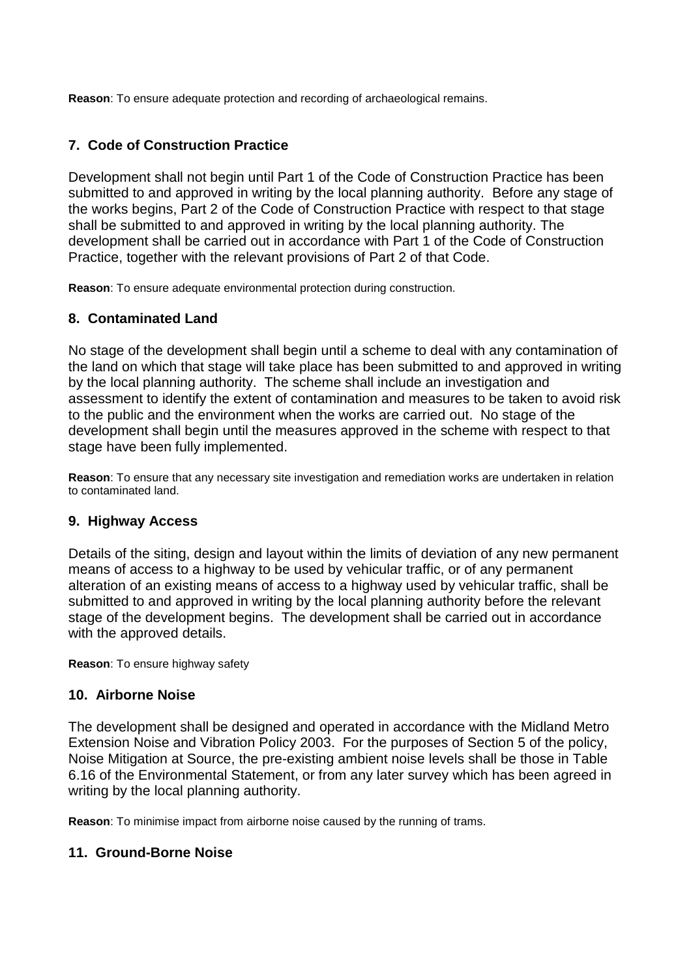**Reason**: To ensure adequate protection and recording of archaeological remains.

# **7. Code of Construction Practice**

Development shall not begin until Part 1 of the Code of Construction Practice has been submitted to and approved in writing by the local planning authority. Before any stage of the works begins, Part 2 of the Code of Construction Practice with respect to that stage shall be submitted to and approved in writing by the local planning authority. The development shall be carried out in accordance with Part 1 of the Code of Construction Practice, together with the relevant provisions of Part 2 of that Code.

**Reason**: To ensure adequate environmental protection during construction.

# **8. Contaminated Land**

No stage of the development shall begin until a scheme to deal with any contamination of the land on which that stage will take place has been submitted to and approved in writing by the local planning authority. The scheme shall include an investigation and assessment to identify the extent of contamination and measures to be taken to avoid risk to the public and the environment when the works are carried out. No stage of the development shall begin until the measures approved in the scheme with respect to that stage have been fully implemented.

**Reason**: To ensure that any necessary site investigation and remediation works are undertaken in relation to contaminated land.

# **9. Highway Access**

Details of the siting, design and layout within the limits of deviation of any new permanent means of access to a highway to be used by vehicular traffic, or of any permanent alteration of an existing means of access to a highway used by vehicular traffic, shall be submitted to and approved in writing by the local planning authority before the relevant stage of the development begins. The development shall be carried out in accordance with the approved details.

**Reason**: To ensure highway safety

# **10. Airborne Noise**

The development shall be designed and operated in accordance with the Midland Metro Extension Noise and Vibration Policy 2003. For the purposes of Section 5 of the policy, Noise Mitigation at Source, the pre-existing ambient noise levels shall be those in Table 6.16 of the Environmental Statement, or from any later survey which has been agreed in writing by the local planning authority.

**Reason**: To minimise impact from airborne noise caused by the running of trams.

### **11. Ground-Borne Noise**